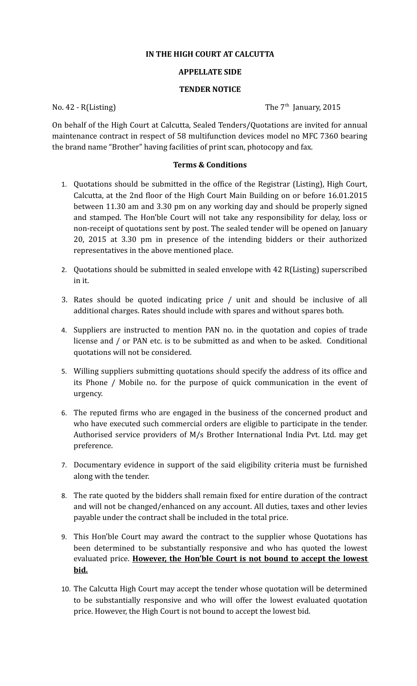## **IN THE HIGH COURT AT CALCUTTA**

## **APPELLATE SIDE**

## **TENDER NOTICE**

No. 42 - R(Listing) The  $7<sup>th</sup>$  January, 2015

On behalf of the High Court at Calcutta, Sealed Tenders/Quotations are invited for annual maintenance contract in respect of 58 multifunction devices model no MFC 7360 bearing the brand name "Brother" having facilities of print scan, photocopy and fax.

## **Terms & Conditions**

- 1. Quotations should be submitted in the office of the Registrar (Listing), High Court, Calcutta, at the 2nd floor of the High Court Main Building on or before 16.01.2015 between 11.30 am and 3.30 pm on any working day and should be properly signed and stamped. The Hon'ble Court will not take any responsibility for delay, loss or non-receipt of quotations sent by post. The sealed tender will be opened on January 20, 2015 at 3.30 pm in presence of the intending bidders or their authorized representatives in the above mentioned place.
- 2. Quotations should be submitted in sealed envelope with 42 R(Listing) superscribed in it.
- 3. Rates should be quoted indicating price / unit and should be inclusive of all additional charges. Rates should include with spares and without spares both.
- 4. Suppliers are instructed to mention PAN no. in the quotation and copies of trade license and / or PAN etc. is to be submitted as and when to be asked. Conditional quotations will not be considered.
- 5. Willing suppliers submitting quotations should specify the address of its office and its Phone / Mobile no. for the purpose of quick communication in the event of urgency.
- 6. The reputed firms who are engaged in the business of the concerned product and who have executed such commercial orders are eligible to participate in the tender. Authorised service providers of M/s Brother International India Pvt. Ltd. may get preference.
- 7. Documentary evidence in support of the said eligibility criteria must be furnished along with the tender.
- 8. The rate quoted by the bidders shall remain fixed for entire duration of the contract and will not be changed/enhanced on any account. All duties, taxes and other levies payable under the contract shall be included in the total price.
- 9. This Hon'ble Court may award the contract to the supplier whose Quotations has been determined to be substantially responsive and who has quoted the lowest evaluated price. **However, the Hon'ble Court is not bound to accept the lowest bid.**
- 10. The Calcutta High Court may accept the tender whose quotation will be determined to be substantially responsive and who will offer the lowest evaluated quotation price. However, the High Court is not bound to accept the lowest bid.